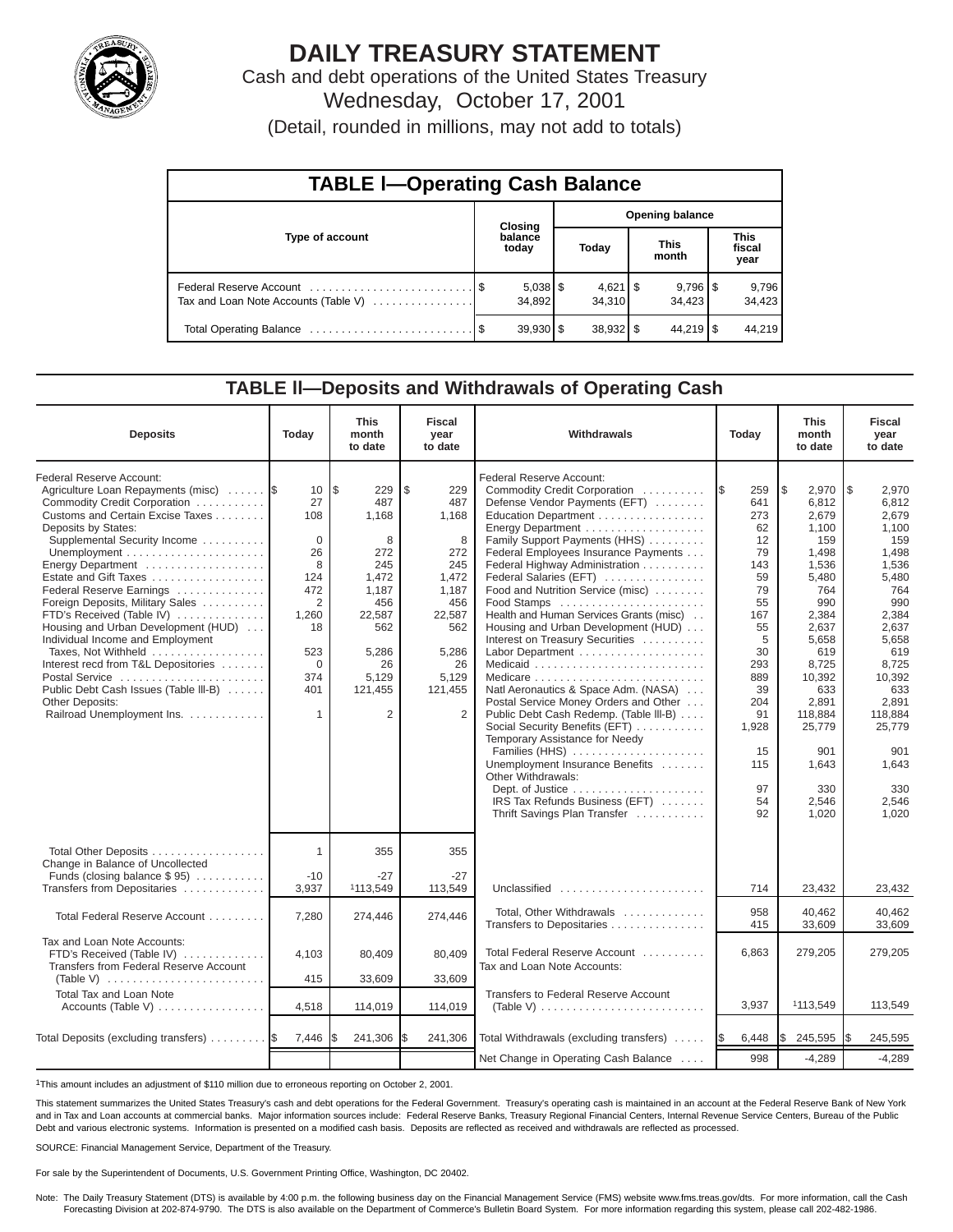

# **DAILY TREASURY STATEMENT**

Cash and debt operations of the United States Treasury Wednesday, October 17, 2001

(Detail, rounded in millions, may not add to totals)

| <b>TABLE I-Operating Cash Balance</b> |  |                  |                        |                              |  |                                 |  |                               |  |  |  |
|---------------------------------------|--|------------------|------------------------|------------------------------|--|---------------------------------|--|-------------------------------|--|--|--|
|                                       |  | Closing          | <b>Opening balance</b> |                              |  |                                 |  |                               |  |  |  |
| Type of account                       |  | balance<br>today |                        | Today                        |  | <b>This</b><br>month            |  | <b>This</b><br>fiscal<br>year |  |  |  |
| Tax and Loan Note Accounts (Table V)  |  | 34,892           |                        | $4,621$ $\sqrt{5}$<br>34.310 |  | $9,796$ $\frac{8}{3}$<br>34.423 |  | 9,796<br>34,423               |  |  |  |
|                                       |  | $39,930$ \$      |                        | $38,932$ \$                  |  | $44.219$ S                      |  | 44.219                        |  |  |  |

## **TABLE ll—Deposits and Withdrawals of Operating Cash**

| <b>Deposits</b>                                                                                                                                                                                                                                                                                                                                                                                                                                                                                                                                                                               | Today                                                                                                                          | <b>This</b><br>month<br>to date                                                                                                              | <b>Fiscal</b><br>year<br>to date                                                                                                            | Withdrawals                                                                                                                                                                                                                                                                                                                                                                                                                                                                                                                                                                                                                                                                                                                                                                                                                                                      | Today                                                                                                                                                                | <b>This</b><br>month<br>to date                                                                                                                                                                                          | Fiscal<br>year<br>to date                                                                                                                                                                                                         |
|-----------------------------------------------------------------------------------------------------------------------------------------------------------------------------------------------------------------------------------------------------------------------------------------------------------------------------------------------------------------------------------------------------------------------------------------------------------------------------------------------------------------------------------------------------------------------------------------------|--------------------------------------------------------------------------------------------------------------------------------|----------------------------------------------------------------------------------------------------------------------------------------------|---------------------------------------------------------------------------------------------------------------------------------------------|------------------------------------------------------------------------------------------------------------------------------------------------------------------------------------------------------------------------------------------------------------------------------------------------------------------------------------------------------------------------------------------------------------------------------------------------------------------------------------------------------------------------------------------------------------------------------------------------------------------------------------------------------------------------------------------------------------------------------------------------------------------------------------------------------------------------------------------------------------------|----------------------------------------------------------------------------------------------------------------------------------------------------------------------|--------------------------------------------------------------------------------------------------------------------------------------------------------------------------------------------------------------------------|-----------------------------------------------------------------------------------------------------------------------------------------------------------------------------------------------------------------------------------|
| Federal Reserve Account:<br>Agriculture Loan Repayments (misc)  \$<br>Commodity Credit Corporation<br>Customs and Certain Excise Taxes<br>Deposits by States:<br>Supplemental Security Income<br>Energy Department<br>Estate and Gift Taxes<br>Federal Reserve Earnings<br>Foreign Deposits, Military Sales<br>FTD's Received (Table IV)<br>Housing and Urban Development (HUD)<br>Individual Income and Employment<br>Taxes. Not Withheld<br>Interest recd from T&L Depositories<br>Postal Service<br>Public Debt Cash Issues (Table III-B)<br>Other Deposits:<br>Railroad Unemployment Ins. | 10<br>27<br>108<br>$\Omega$<br>26<br>8<br>124<br>472<br>$\overline{2}$<br>1,260<br>18<br>523<br>$\mathbf 0$<br>374<br>401<br>1 | l\$<br>229<br>487<br>1,168<br>8<br>272<br>245<br>1.472<br>1,187<br>456<br>22,587<br>562<br>5.286<br>26<br>5,129<br>121,455<br>$\overline{2}$ | \$<br>229<br>487<br>1,168<br>8<br>272<br>245<br>1.472<br>1,187<br>456<br>22,587<br>562<br>5.286<br>26<br>5,129<br>121,455<br>$\overline{2}$ | <b>Federal Reserve Account:</b><br>Commodity Credit Corporation<br>Defense Vendor Payments (EFT)<br>Education Department<br>Family Support Payments (HHS)<br>Federal Employees Insurance Payments<br>Federal Highway Administration<br>Federal Salaries (EFT)<br>Food and Nutrition Service (misc)<br>Food Stamps<br>Health and Human Services Grants (misc)<br>Housing and Urban Development (HUD)<br>Interest on Treasury Securities<br>Labor Department<br>Natl Aeronautics & Space Adm. (NASA)<br>Postal Service Money Orders and Other<br>Public Debt Cash Redemp. (Table III-B)<br>Social Security Benefits (EFT)<br>Temporary Assistance for Needy<br>Families (HHS)<br>Unemployment Insurance Benefits<br>Other Withdrawals:<br>Dept. of Justice $\dots \dots \dots \dots \dots \dots$<br>IRS Tax Refunds Business (EFT)<br>Thrift Savings Plan Transfer | 259<br>1\$<br>641<br>273<br>62<br>12<br>79<br>143<br>59<br>79<br>55<br>167<br>55<br>5<br>30<br>293<br>889<br>39<br>204<br>91<br>1,928<br>15<br>115<br>97<br>54<br>92 | 5<br>2,970<br>6,812<br>2,679<br>1,100<br>159<br>1,498<br>1,536<br>5,480<br>764<br>990<br>2.384<br>2,637<br>5.658<br>619<br>8,725<br>10,392<br>633<br>2,891<br>118,884<br>25,779<br>901<br>1,643<br>330<br>2.546<br>1.020 | $\sqrt{3}$<br>2,970<br>6,812<br>2,679<br>1,100<br>159<br>1,498<br>1,536<br>5,480<br>764<br>990<br>2,384<br>2,637<br>5.658<br>619<br>8,725<br>10,392<br>633<br>2,891<br>118,884<br>25,779<br>901<br>1,643<br>330<br>2.546<br>1.020 |
| Total Other Deposits<br>Change in Balance of Uncollected<br>Funds (closing balance $$ 95$ )<br>Transfers from Depositaries                                                                                                                                                                                                                                                                                                                                                                                                                                                                    | 1<br>$-10$<br>3,937                                                                                                            | 355<br>$-27$<br>1113,549                                                                                                                     | 355<br>$-27$<br>113,549                                                                                                                     | Unclassified                                                                                                                                                                                                                                                                                                                                                                                                                                                                                                                                                                                                                                                                                                                                                                                                                                                     | 714                                                                                                                                                                  | 23,432                                                                                                                                                                                                                   | 23,432                                                                                                                                                                                                                            |
| Total Federal Reserve Account                                                                                                                                                                                                                                                                                                                                                                                                                                                                                                                                                                 | 7,280                                                                                                                          | 274,446                                                                                                                                      | 274,446                                                                                                                                     | Total, Other Withdrawals<br>Transfers to Depositaries                                                                                                                                                                                                                                                                                                                                                                                                                                                                                                                                                                                                                                                                                                                                                                                                            | 958<br>415                                                                                                                                                           | 40.462<br>33,609                                                                                                                                                                                                         | 40,462<br>33,609                                                                                                                                                                                                                  |
| Tax and Loan Note Accounts:<br>FTD's Received (Table IV)<br>Transfers from Federal Reserve Account<br>(Table V) $\ldots \ldots \ldots \ldots \ldots \ldots \ldots$                                                                                                                                                                                                                                                                                                                                                                                                                            | 4,103<br>415                                                                                                                   | 80,409<br>33,609                                                                                                                             | 80,409<br>33,609                                                                                                                            | Total Federal Reserve Account<br>Tax and Loan Note Accounts:                                                                                                                                                                                                                                                                                                                                                                                                                                                                                                                                                                                                                                                                                                                                                                                                     | 6,863                                                                                                                                                                | 279,205                                                                                                                                                                                                                  | 279,205                                                                                                                                                                                                                           |
| Total Tax and Loan Note<br>Accounts (Table V)                                                                                                                                                                                                                                                                                                                                                                                                                                                                                                                                                 | 4,518                                                                                                                          | 114,019                                                                                                                                      | 114,019                                                                                                                                     | Transfers to Federal Reserve Account<br>(Table V) $\ldots \ldots \ldots \ldots \ldots \ldots \ldots \ldots$                                                                                                                                                                                                                                                                                                                                                                                                                                                                                                                                                                                                                                                                                                                                                      | 3,937                                                                                                                                                                | 1113,549                                                                                                                                                                                                                 | 113,549                                                                                                                                                                                                                           |
| Total Deposits (excluding transfers)                                                                                                                                                                                                                                                                                                                                                                                                                                                                                                                                                          | 7,446                                                                                                                          | 241,306                                                                                                                                      | 241,306<br>l\$                                                                                                                              | Total Withdrawals (excluding transfers)                                                                                                                                                                                                                                                                                                                                                                                                                                                                                                                                                                                                                                                                                                                                                                                                                          | 6,448<br>I\$                                                                                                                                                         | Ι\$<br>245,595                                                                                                                                                                                                           | 245,595                                                                                                                                                                                                                           |
|                                                                                                                                                                                                                                                                                                                                                                                                                                                                                                                                                                                               |                                                                                                                                |                                                                                                                                              |                                                                                                                                             | Net Change in Operating Cash Balance                                                                                                                                                                                                                                                                                                                                                                                                                                                                                                                                                                                                                                                                                                                                                                                                                             | 998                                                                                                                                                                  | $-4,289$                                                                                                                                                                                                                 | $-4,289$                                                                                                                                                                                                                          |

1This amount includes an adjustment of \$110 million due to erroneous reporting on October 2, 2001.

This statement summarizes the United States Treasury's cash and debt operations for the Federal Government. Treasury's operating cash is maintained in an account at the Federal Reserve Bank of New York and in Tax and Loan accounts at commercial banks. Major information sources include: Federal Reserve Banks, Treasury Regional Financial Centers, Internal Revenue Service Centers, Bureau of the Public Debt and various electronic systems. Information is presented on a modified cash basis. Deposits are reflected as received and withdrawals are reflected as processed.

SOURCE: Financial Management Service, Department of the Treasury.

For sale by the Superintendent of Documents, U.S. Government Printing Office, Washington, DC 20402.

Note: The Daily Treasury Statement (DTS) is available by 4:00 p.m. the following business day on the Financial Management Service (FMS) website www.fms.treas.gov/dts. For more information, call the Cash<br>Forecasting Divisio